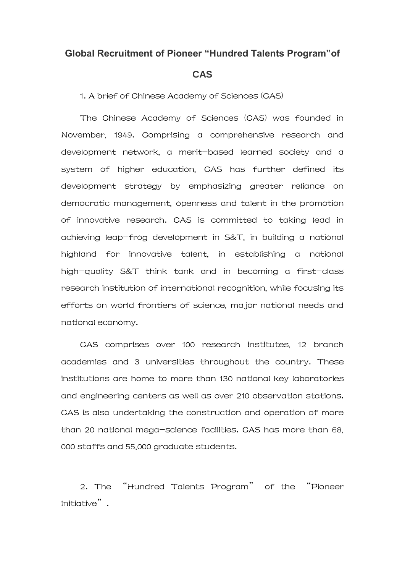## **Global Recruitment of Pioneer "Hundred Talents Program"of**

## **CAS**

1. A brief of Chinese Academy of Sciences (CAS)

The Chinese Academy of Sciences (CAS) was founded in November, 1949. Comprising a comprehensive research and development network, a merit-based learned society and a system of higher education, CAS has further defined its development strategy by emphasizing greater reliance on democratic management, openness and talent in the promotion of innovative research. CAS is committed to taking lead in achieving leap-frog development in S&T, in building a national highland for innovative talent, in establishing a national high-quality S&T think tank and in becoming a first-class research institution of international recognition, while focusing its efforts on world frontiers of science, major national needs and national economy.

CAS comprises over 100 research institutes, 12 branch academies and 3 universities throughout the country. These institutions are home to more than 130 national key laboratories and engineering centers as well as over 210 observation stations. CAS is also undertaking the construction and operation of more than 20 national mega-science facilities. CAS has more than 68, 000 staffs and 55,000 graduate students.

2. The "Hundred Talents Program" of the "Pioneer Initiative".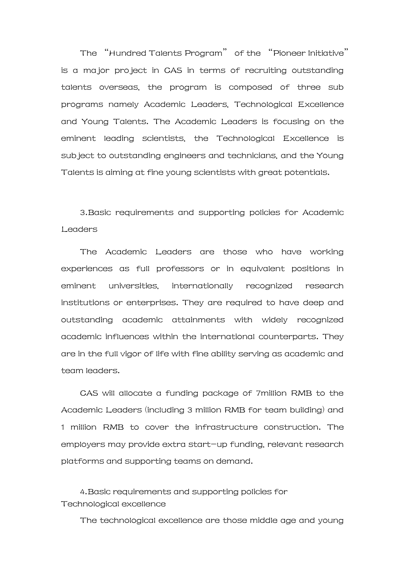The "Hundred Talents Program" of the "Pioneer Initiative" is a major project in CAS in terms of recruiting outstanding talents overseas, the program is composed of three sub programs namely Academic Leaders, Technological Excellence and Young Talents. The Academic Leaders is focusing on the eminent leading scientists, the Technological Excellence is subject to outstanding engineers and technicians, and the Young Talents is aiming at fine young scientists with great potentials.

3.Basic requirements and supporting policies for Academic Leaders

The Academic Leaders are those who have working experiences as full professors or in equivalent positions in eminent universities, internationally recognized research institutions or enterprises. They are required to have deep and outstanding academic attainments with widely recognized academic influences within the international counterparts. They are in the full vigor of life with fine ability serving as academic and team leaders.

CAS will allocate a funding package of 7million RMB to the Academic Leaders (including 3 million RMB for team building) and 1 million RMB to cover the infrastructure construction. The employers may provide extra start-up funding, relevant research platforms and supporting teams on demand.

4.Basic requirements and supporting policies for Technological excellence

The technological excellence are those middle age and young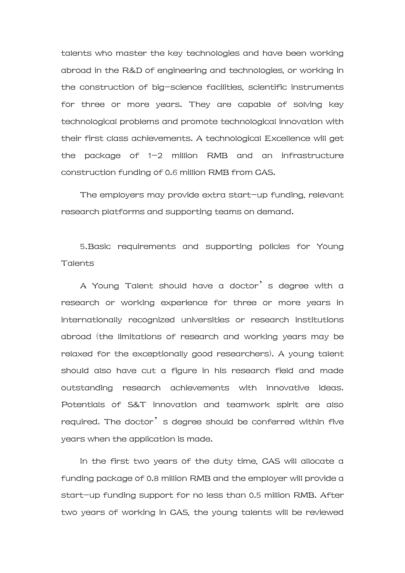talents who master the key technologies and have been working abroad in the R&D of engineering and technologies, or working in the construction of big-science facilities, scientific instruments for three or more years. They are capable of solving key technological problems and promote technological innovation with their first class achievements. A technological Excellence will get the package of 1-2 million RMB and an infrastructure construction funding of 0.6 million RMB from CAS.

The employers may provide extra start-up funding, relevant research platforms and supporting teams on demand.

5.Basic requirements and supporting policies for Young Talents

A Young Talent should have a doctor's degree with a research or working experience for three or more years in internationally recognized universities or research institutions abroad (the limitations of research and working years may be relaxed for the exceptionally good researchers). A young talent should also have cut a figure in his research field and made outstanding research achievements with innovative ideas. Potentials of S&T innovation and teamwork spirit are also required. The doctor's degree should be conferred within five years when the application is made.

In the first two years of the duty time, CAS will allocate a funding package of 0.8 million RMB and the employer will provide a start-up funding support for no less than 0.5 million RMB. After two years of working in CAS, the young talents will be reviewed